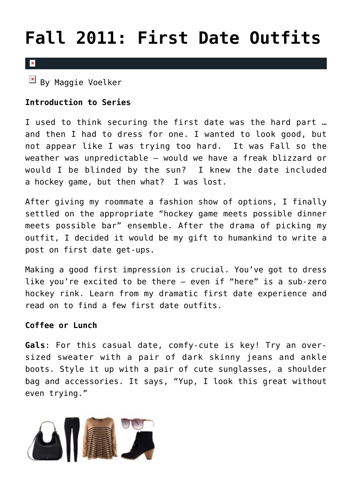## **[Fall 2011: First Date Outfits](https://cupidspulse.com/22453/what-to-wear-on-first-dates-for-guys-and-girls-in-fall-2011/)**

## $\overline{\mathbf{x}}$

 $\boxed{\times}$  By Maggie Voelker

## **Introduction to Series**

I used to think securing the first date was the hard part … and then I had to dress for one. I wanted to look good, but not appear like I was trying too hard. It was Fall so the weather was unpredictable – would we have a freak blizzard or would I be blinded by the sun? I knew the date included a hockey game, but then what? I was lost.

After giving my roommate a fashion show of options, I finally settled on the appropriate "hockey game meets possible dinner meets possible bar" ensemble. After the drama of picking my outfit, I decided it would be my gift to humankind to write a post on first date get-ups.

Making a good first impression is crucial. You've got to dress like you're excited to be there – even if "here" is a sub-zero hockey rink. Learn from my dramatic first date experience and read on to find a few first date outfits.

## **Coffee or Lunch**

**Gals**: For this casual date, comfy-cute is key! Try an oversized sweater with a pair of dark skinny jeans and ankle boots. Style it up with a pair of cute sunglasses, a shoulder bag and accessories. It says, "Yup, I look this great without even trying."